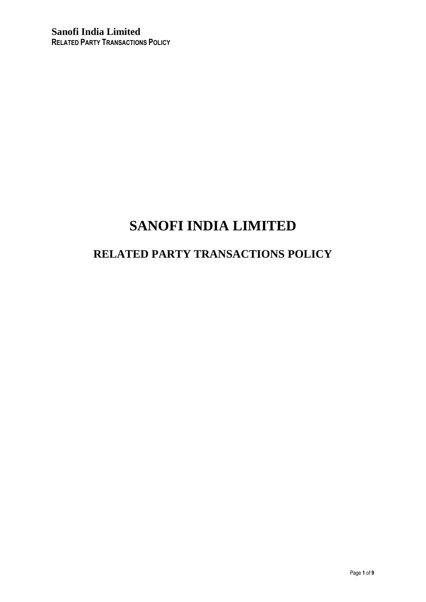# **SANOFI INDIA LIMITED**

## **RELATED PARTY TRANSACTIONS POLICY**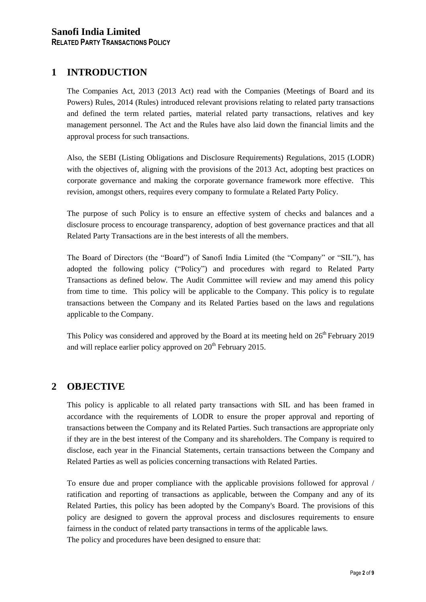## **1 INTRODUCTION**

The Companies Act, 2013 (2013 Act) read with the Companies (Meetings of Board and its Powers) Rules, 2014 (Rules) introduced relevant provisions relating to related party transactions and defined the term related parties, material related party transactions, relatives and key management personnel. The Act and the Rules have also laid down the financial limits and the approval process for such transactions.

Also, the SEBI (Listing Obligations and Disclosure Requirements) Regulations, 2015 (LODR) with the objectives of, aligning with the provisions of the 2013 Act, adopting best practices on corporate governance and making the corporate governance framework more effective. This revision, amongst others, requires every company to formulate a Related Party Policy.

The purpose of such Policy is to ensure an effective system of checks and balances and a disclosure process to encourage transparency, adoption of best governance practices and that all Related Party Transactions are in the best interests of all the members.

The Board of Directors (the "Board") of Sanofi India Limited (the "Company" or "SIL"), has adopted the following policy ("Policy") and procedures with regard to Related Party Transactions as defined below. The Audit Committee will review and may amend this policy from time to time. This policy will be applicable to the Company. This policy is to regulate transactions between the Company and its Related Parties based on the laws and regulations applicable to the Company.

This Policy was considered and approved by the Board at its meeting held on  $26<sup>th</sup>$  February 2019 and will replace earlier policy approved on  $20<sup>th</sup>$  February 2015.

## **2 OBJECTIVE**

This policy is applicable to all related party transactions with SIL and has been framed in accordance with the requirements of LODR to ensure the proper approval and reporting of transactions between the Company and its Related Parties. Such transactions are appropriate only if they are in the best interest of the Company and its shareholders. The Company is required to disclose, each year in the Financial Statements, certain transactions between the Company and Related Parties as well as policies concerning transactions with Related Parties.

To ensure due and proper compliance with the applicable provisions followed for approval / ratification and reporting of transactions as applicable, between the Company and any of its Related Parties, this policy has been adopted by the Company's Board. The provisions of this policy are designed to govern the approval process and disclosures requirements to ensure fairness in the conduct of related party transactions in terms of the applicable laws. The policy and procedures have been designed to ensure that: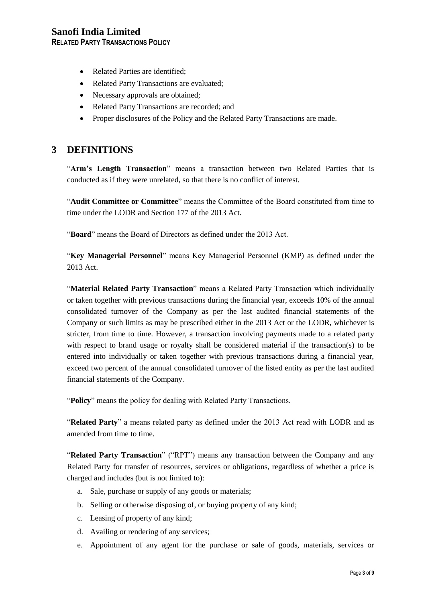## **Sanofi India Limited**

**RELATED PARTY TRANSACTIONS POLICY**

- Related Parties are identified:
- Related Party Transactions are evaluated;
- Necessary approvals are obtained;
- Related Party Transactions are recorded; and
- Proper disclosures of the Policy and the Related Party Transactions are made.

#### **3 DEFINITIONS**

"**Arm's Length Transaction**" means a transaction between two Related Parties that is conducted as if they were unrelated, so that there is no conflict of interest.

"**Audit Committee or Committee**" means the Committee of the Board constituted from time to time under the LODR and Section 177 of the 2013 Act.

"**Board**" means the Board of Directors as defined under the 2013 Act.

"**Key Managerial Personnel**" means Key Managerial Personnel (KMP) as defined under the 2013 Act.

"**Material Related Party Transaction**" means a Related Party Transaction which individually or taken together with previous transactions during the financial year, exceeds 10% of the annual consolidated turnover of the Company as per the last audited financial statements of the Company or such limits as may be prescribed either in the 2013 Act or the LODR, whichever is stricter, from time to time. However, a transaction involving payments made to a related party with respect to brand usage or royalty shall be considered material if the transaction(s) to be entered into individually or taken together with previous transactions during a financial year, exceed two percent of the annual consolidated turnover of the listed entity as per the last audited financial statements of the Company.

"**Policy**" means the policy for dealing with Related Party Transactions.

"**Related Party**" a means related party as defined under the 2013 Act read with LODR and as amended from time to time.

"**Related Party Transaction**" ("RPT") means any transaction between the Company and any Related Party for transfer of resources, services or obligations, regardless of whether a price is charged and includes (but is not limited to):

- a. Sale, purchase or supply of any goods or materials;
- b. Selling or otherwise disposing of, or buying property of any kind;
- c. Leasing of property of any kind;
- d. Availing or rendering of any services;
- e. Appointment of any agent for the purchase or sale of goods, materials, services or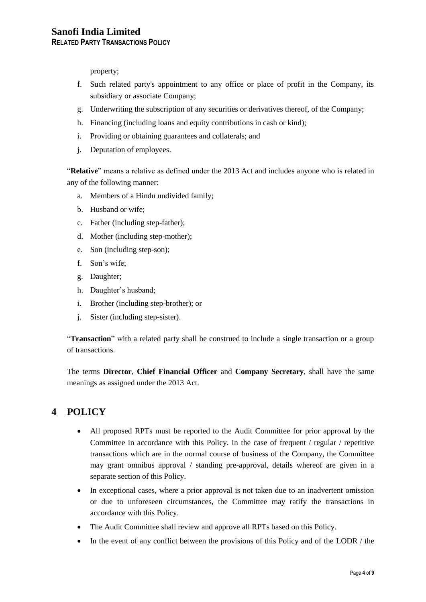property;

- f. Such related party's appointment to any office or place of profit in the Company, its subsidiary or associate Company;
- g. Underwriting the subscription of any securities or derivatives thereof, of the Company;
- h. Financing (including loans and equity contributions in cash or kind);
- i. Providing or obtaining guarantees and collaterals; and
- j. Deputation of employees.

"**Relative**" means a relative as defined under the 2013 Act and includes anyone who is related in any of the following manner:

- a. Members of a Hindu undivided family;
- b. Husband or wife;
- c. Father (including step-father);
- d. Mother (including step-mother);
- e. Son (including step-son);
- f. Son's wife;
- g. Daughter;
- h. Daughter's husband;
- i. Brother (including step-brother); or
- j. Sister (including step-sister).

"**Transaction**" with a related party shall be construed to include a single transaction or a group of transactions.

The terms **Director**, **Chief Financial Officer** and **Company Secretary**, shall have the same meanings as assigned under the 2013 Act.

## **4 POLICY**

- All proposed RPTs must be reported to the Audit Committee for prior approval by the Committee in accordance with this Policy. In the case of frequent / regular / repetitive transactions which are in the normal course of business of the Company, the Committee may grant omnibus approval / standing pre-approval, details whereof are given in a separate section of this Policy.
- In exceptional cases, where a prior approval is not taken due to an inadvertent omission or due to unforeseen circumstances, the Committee may ratify the transactions in accordance with this Policy.
- The Audit Committee shall review and approve all RPTs based on this Policy.
- $\bullet$  In the event of any conflict between the provisions of this Policy and of the LODR / the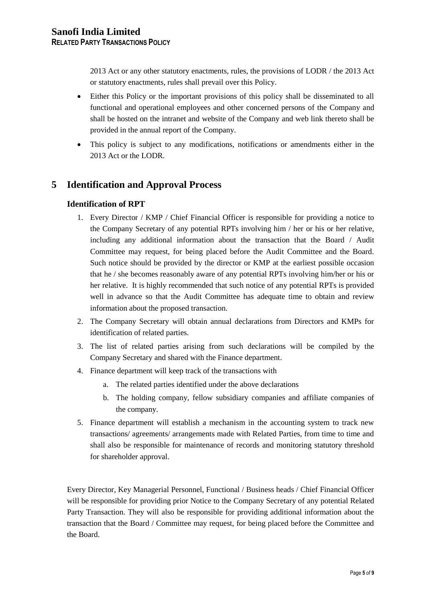2013 Act or any other statutory enactments, rules, the provisions of LODR / the 2013 Act or statutory enactments, rules shall prevail over this Policy.

- Either this Policy or the important provisions of this policy shall be disseminated to all functional and operational employees and other concerned persons of the Company and shall be hosted on the intranet and website of the Company and web link thereto shall be provided in the annual report of the Company.
- This policy is subject to any modifications, notifications or amendments either in the 2013 Act or the LODR.

## **5 Identification and Approval Process**

#### **Identification of RPT**

- 1. Every Director / KMP / Chief Financial Officer is responsible for providing a notice to the Company Secretary of any potential RPTs involving him / her or his or her relative, including any additional information about the transaction that the Board / Audit Committee may request, for being placed before the Audit Committee and the Board. Such notice should be provided by the director or KMP at the earliest possible occasion that he / she becomes reasonably aware of any potential RPTs involving him/her or his or her relative. It is highly recommended that such notice of any potential RPTs is provided well in advance so that the Audit Committee has adequate time to obtain and review information about the proposed transaction.
- 2. The Company Secretary will obtain annual declarations from Directors and KMPs for identification of related parties.
- 3. The list of related parties arising from such declarations will be compiled by the Company Secretary and shared with the Finance department.
- 4. Finance department will keep track of the transactions with
	- a. The related parties identified under the above declarations
	- b. The holding company, fellow subsidiary companies and affiliate companies of the company.
- 5. Finance department will establish a mechanism in the accounting system to track new transactions/ agreements/ arrangements made with Related Parties, from time to time and shall also be responsible for maintenance of records and monitoring statutory threshold for shareholder approval.

Every Director, Key Managerial Personnel, Functional / Business heads / Chief Financial Officer will be responsible for providing prior Notice to the Company Secretary of any potential Related Party Transaction. They will also be responsible for providing additional information about the transaction that the Board / Committee may request, for being placed before the Committee and the Board.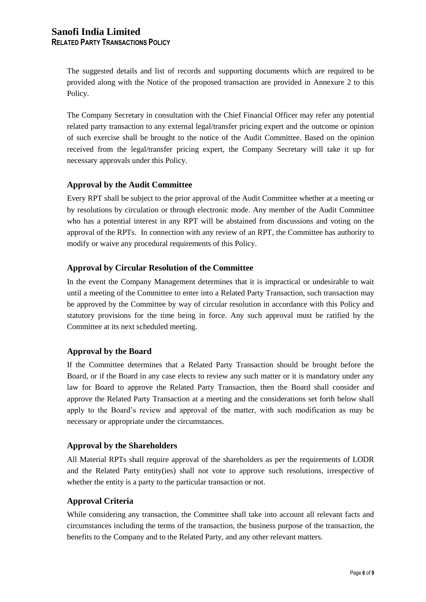The suggested details and list of records and supporting documents which are required to be provided along with the Notice of the proposed transaction are provided in Annexure 2 to this Policy.

The Company Secretary in consultation with the Chief Financial Officer may refer any potential related party transaction to any external legal/transfer pricing expert and the outcome or opinion of such exercise shall be brought to the notice of the Audit Committee. Based on the opinion received from the legal/transfer pricing expert, the Company Secretary will take it up for necessary approvals under this Policy.

#### **Approval by the Audit Committee**

Every RPT shall be subject to the prior approval of the Audit Committee whether at a meeting or by resolutions by circulation or through electronic mode. Any member of the Audit Committee who has a potential interest in any RPT will be abstained from discussions and voting on the approval of the RPTs. In connection with any review of an RPT, the Committee has authority to modify or waive any procedural requirements of this Policy.

#### **Approval by Circular Resolution of the Committee**

In the event the Company Management determines that it is impractical or undesirable to wait until a meeting of the Committee to enter into a Related Party Transaction, such transaction may be approved by the Committee by way of circular resolution in accordance with this Policy and statutory provisions for the time being in force. Any such approval must be ratified by the Committee at its next scheduled meeting.

#### **Approval by the Board**

If the Committee determines that a Related Party Transaction should be brought before the Board, or if the Board in any case elects to review any such matter or it is mandatory under any law for Board to approve the Related Party Transaction, then the Board shall consider and approve the Related Party Transaction at a meeting and the considerations set forth below shall apply to the Board's review and approval of the matter, with such modification as may be necessary or appropriate under the circumstances.

#### **Approval by the Shareholders**

All Material RPTs shall require approval of the shareholders as per the requirements of LODR and the Related Party entity(ies) shall not vote to approve such resolutions, irrespective of whether the entity is a party to the particular transaction or not.

#### **Approval Criteria**

While considering any transaction, the Committee shall take into account all relevant facts and circumstances including the terms of the transaction, the business purpose of the transaction, the benefits to the Company and to the Related Party, and any other relevant matters.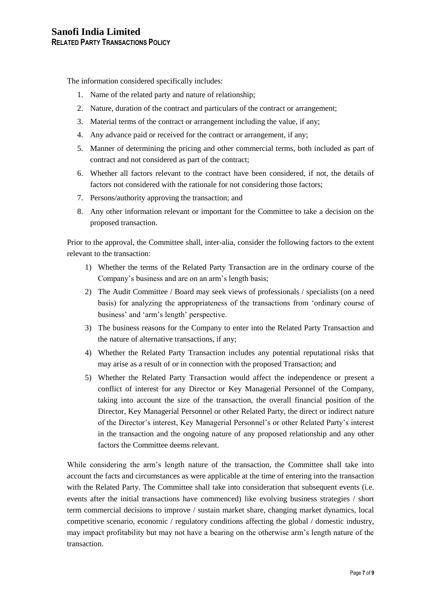The information considered specifically includes:

- 1. Name of the related party and nature of relationship;
- 2. Nature, duration of the contract and particulars of the contract or arrangement;
- 3. Material terms of the contract or arrangement including the value, if any;
- 4. Any advance paid or received for the contract or arrangement, if any;
- 5. Manner of determining the pricing and other commercial terms, both included as part of contract and not considered as part of the contract;
- 6. Whether all factors relevant to the contract have been considered, if not, the details of factors not considered with the rationale for not considering those factors;
- 7. Persons/authority approving the transaction; and
- 8. Any other information relevant or important for the Committee to take a decision on the proposed transaction.

Prior to the approval, the Committee shall, inter-alia, consider the following factors to the extent relevant to the transaction:

- 1) Whether the terms of the Related Party Transaction are in the ordinary course of the Company's business and are on an arm's length basis;
- 2) The Audit Committee / Board may seek views of professionals / specialists (on a need basis) for analyzing the appropriateness of the transactions from 'ordinary course of business' and 'arm's length' perspective.
- 3) The business reasons for the Company to enter into the Related Party Transaction and the nature of alternative transactions, if any;
- 4) Whether the Related Party Transaction includes any potential reputational risks that may arise as a result of or in connection with the proposed Transaction; and
- 5) Whether the Related Party Transaction would affect the independence or present a conflict of interest for any Director or Key Managerial Personnel of the Company, taking into account the size of the transaction, the overall financial position of the Director, Key Managerial Personnel or other Related Party, the direct or indirect nature of the Director's interest, Key Managerial Personnel's or other Related Party's interest in the transaction and the ongoing nature of any proposed relationship and any other factors the Committee deems relevant.

While considering the arm's length nature of the transaction, the Committee shall take into account the facts and circumstances as were applicable at the time of entering into the transaction with the Related Party. The Committee shall take into consideration that subsequent events (i.e. events after the initial transactions have commenced) like evolving business strategies / short term commercial decisions to improve / sustain market share, changing market dynamics, local competitive scenario, economic / regulatory conditions affecting the global / domestic industry, may impact profitability but may not have a bearing on the otherwise arm's length nature of the transaction.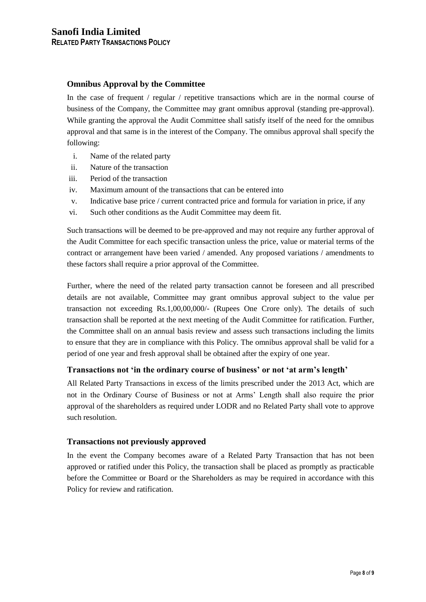#### **Omnibus Approval by the Committee**

In the case of frequent / regular / repetitive transactions which are in the normal course of business of the Company, the Committee may grant omnibus approval (standing pre-approval). While granting the approval the Audit Committee shall satisfy itself of the need for the omnibus approval and that same is in the interest of the Company. The omnibus approval shall specify the following:

- i. Name of the related party
- ii. Nature of the transaction
- iii. Period of the transaction
- iv. Maximum amount of the transactions that can be entered into
- v. Indicative base price / current contracted price and formula for variation in price, if any
- vi. Such other conditions as the Audit Committee may deem fit.

Such transactions will be deemed to be pre-approved and may not require any further approval of the Audit Committee for each specific transaction unless the price, value or material terms of the contract or arrangement have been varied / amended. Any proposed variations / amendments to these factors shall require a prior approval of the Committee.

Further, where the need of the related party transaction cannot be foreseen and all prescribed details are not available, Committee may grant omnibus approval subject to the value per transaction not exceeding Rs.1,00,00,000/- (Rupees One Crore only). The details of such transaction shall be reported at the next meeting of the Audit Committee for ratification. Further, the Committee shall on an annual basis review and assess such transactions including the limits to ensure that they are in compliance with this Policy. The omnibus approval shall be valid for a period of one year and fresh approval shall be obtained after the expiry of one year.

#### **Transactions not 'in the ordinary course of business' or not 'at arm's length'**

All Related Party Transactions in excess of the limits prescribed under the 2013 Act, which are not in the Ordinary Course of Business or not at Arms' Length shall also require the prior approval of the shareholders as required under LODR and no Related Party shall vote to approve such resolution.

#### **Transactions not previously approved**

In the event the Company becomes aware of a Related Party Transaction that has not been approved or ratified under this Policy, the transaction shall be placed as promptly as practicable before the Committee or Board or the Shareholders as may be required in accordance with this Policy for review and ratification.